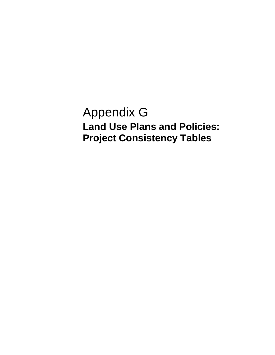Appendix G **Land Use Plans and Policies: Project Consistency Tables**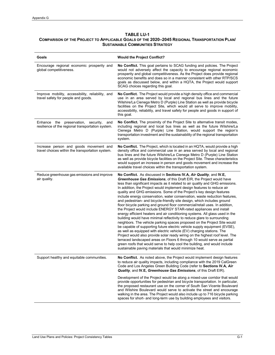# **TABLE LU-1**

## **COMPARISON OF THE PROJECT TO APPLICABLE GOALS OF THE 2020–2045 REGIONAL TRANSPORTATION PLAN/ SUSTAINABLE COMMUNITIES STRATEGY**

| Goals                                                                                                 | <b>Would the Project Conflict?</b>                                                                                                                                                                                                                                                                                                                                                                                                                                                                                                                                                                                                                                                                                                                                                                                                                                                                                                                                                                                                                                                                                                                                                                                                                                                                                                                                                        |  |
|-------------------------------------------------------------------------------------------------------|-------------------------------------------------------------------------------------------------------------------------------------------------------------------------------------------------------------------------------------------------------------------------------------------------------------------------------------------------------------------------------------------------------------------------------------------------------------------------------------------------------------------------------------------------------------------------------------------------------------------------------------------------------------------------------------------------------------------------------------------------------------------------------------------------------------------------------------------------------------------------------------------------------------------------------------------------------------------------------------------------------------------------------------------------------------------------------------------------------------------------------------------------------------------------------------------------------------------------------------------------------------------------------------------------------------------------------------------------------------------------------------------|--|
| Encourage regional economic prosperity and<br>global competitiveness.                                 | No Conflict. This goal pertains to SCAG funding and policies. The Project<br>would not adversely affect the capacity to encourage regional economic<br>prosperity and global competitiveness. As the Project does provide regional<br>economic benefits and does so in a manner consistent with other RTP/SCS<br>goals as discussed below, and within a HQTA, the Project would support<br>SCAG choices regarding this goal.                                                                                                                                                                                                                                                                                                                                                                                                                                                                                                                                                                                                                                                                                                                                                                                                                                                                                                                                                              |  |
| Improve mobility, accessibility, reliability, and<br>travel safety for people and goods.              | No Conflict. The Project would provide a high density office and commercial<br>use in an area served by local and regional bus lines and the future<br>Wilshire/La Cienega Metro D (Purple) Line Station as well as provide bicycle<br>facilities on the Project Site, which would all serve to improve mobility,<br>accessibility, reliability, and travel safety for people and goods in support of<br>this goal.                                                                                                                                                                                                                                                                                                                                                                                                                                                                                                                                                                                                                                                                                                                                                                                                                                                                                                                                                                       |  |
| preservation,<br>Enhance the<br>security,<br>and<br>resilience of the regional transportation system. | No Conflict. The proximity of the Project Site to alternative transit modes,<br>including regional and local bus lines as well as the future Wilshire/La<br>Cienega Metro D (Purple) Line Station, would support the region's<br>transportation investment and the sustainability of the regional transportation<br>system.                                                                                                                                                                                                                                                                                                                                                                                                                                                                                                                                                                                                                                                                                                                                                                                                                                                                                                                                                                                                                                                               |  |
| Increase person and goods movement and<br>travel choices within the transportation system.            | No Conflict. The Project, which is located in an HQTA, would provide a high<br>density office and commercial use in an area served by local and regional<br>bus lines and the future Wilshire/La Cienega Metro D (Purple) Line Station<br>as well as provide bicycle facilities on the Project Site. These characteristics<br>would support an increase in person and goods movement and increase the<br>available travel choices within the transportation system.                                                                                                                                                                                                                                                                                                                                                                                                                                                                                                                                                                                                                                                                                                                                                                                                                                                                                                                       |  |
| Reduce greenhouse gas emissions and improve<br>air quality.                                           | No Conflict. As discussed in Sections IV.A, Air Quality, and IV.E,<br>Greenhouse Gas Emissions, of this Draft EIR, the Project would have<br>less than significant impacts as it related to air quality and GHG emissions.<br>In addition, the Project would implement design features to reduce air<br>quality and GHG emissions. Some of the Project's key design features<br>include energy conservation, water conservation, waste reduction features,<br>and pedestrian- and bicycle-friendly site design, which includes ground<br>floor bicycle parking and ground floor commercial/retail uses. In addition,<br>the Project would include ENERGY STAR-rated appliances and install<br>energy efficient heaters and air conditioning systems. All glass used in the<br>building would have minimal reflectivity to reduce glare to surrounding<br>neighbors. The vehicle parking spaces proposed on the Project Site would<br>be capable of supporting future electric vehicle supply equipment (EVSE),<br>as well as equipped with electric vehicle (EV) charging stations. The<br>Project would also provide solar ready wiring on the highest roof level. The<br>terraced landscaped areas on Floors 6 through 10 would serve as partial<br>green roofs that would serve to help cool the building, and would include<br>sustainable paving materials that would minimize heat. |  |
| Support healthy and equitable communities.                                                            | No Conflict. As noted above, the Project would implement design features<br>to reduce air quality impacts, including compliance with the 2019 CalGreen<br>Code and Los Angeles Green Building Code (refer to Sections IV.A, Air<br>Quality, and IV.E, Greenhouse Gas Emissions, of this Draft EIR).                                                                                                                                                                                                                                                                                                                                                                                                                                                                                                                                                                                                                                                                                                                                                                                                                                                                                                                                                                                                                                                                                       |  |
|                                                                                                       | Development of the Project would be along a mixed-use corridor that would<br>provide opportunities for pedestrian and bicycle transportation. In particular,<br>the proposed restaurant use on the corner of South San Vicente Boulevard<br>and Wilshire Boulevard would serve to activate the street and encourage<br>walking in the area. The Project would also include up to 716 bicycle parking<br>spaces for short- and long-term use by building employees and visitors.                                                                                                                                                                                                                                                                                                                                                                                                                                                                                                                                                                                                                                                                                                                                                                                                                                                                                                           |  |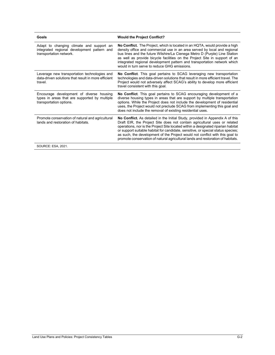| Goals                                                                                                                | <b>Would the Project Conflict?</b>                                                                                                                                                                                                                                                                                                                                                                                                                                                                    |  |
|----------------------------------------------------------------------------------------------------------------------|-------------------------------------------------------------------------------------------------------------------------------------------------------------------------------------------------------------------------------------------------------------------------------------------------------------------------------------------------------------------------------------------------------------------------------------------------------------------------------------------------------|--|
| Adapt to changing climate and support an<br>integrated regional development pattern and<br>transportation network.   | No Conflict. The Project, which is located in an HQTA, would provide a high<br>density office and commercial use in an area served by local and regional<br>bus lines and the future Wilshire/La Cienega Metro D (Purple) Line Station<br>as well as provide bicycle facilities on the Project Site in support of an<br>integrated regional development pattern and transportation network which<br>would in turn serve to reduce GHG emissions.                                                      |  |
| Leverage new transportation technologies and<br>data-driven solutions that result in more efficient<br>travel.       | No Conflict. This goal pertains to SCAG leveraging new transportation<br>technologies and data-driven solutions that result in more efficient travel. The<br>Project would not adversely affect SCAG's ability to develop more efficient<br>travel consistent with this goal.                                                                                                                                                                                                                         |  |
| Encourage development of diverse housing<br>types in areas that are supported by multiple<br>transportation options. | <b>No Conflict.</b> This goal pertains to SCAG encouraging development of a<br>diverse housing types in areas that are support by multiple transportation<br>options. While the Project does not include the development of residential<br>uses, the Project would not preclude SCAG from implementing this goal and<br>does not include the removal of existing residential uses.                                                                                                                    |  |
| Promote conservation of natural and agricultural<br>lands and restoration of habitats                                | No Conflict. As detailed in the Initial Study, provided in Appendix A of this<br>Draft EIR, the Project Site does not contain agricultural uses or related<br>operations, nor is the Project Site located within a designated riparian habitat<br>or support suitable habitat for candidate, sensitive, or special status species;<br>as such, the development of the Project would not conflict with this goal to<br>promote conservation of natural agricultural lands and restoration of habitats. |  |
| SOURCE: ESA, 2021.                                                                                                   |                                                                                                                                                                                                                                                                                                                                                                                                                                                                                                       |  |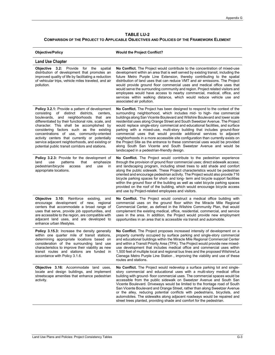## **TABLE LU-2 COMPARISON OF THE PROJECT TO APPLICABLE OBJECTIVES AND POLICIES OF THE FRAMEWORK ELEMENT**

| <b>Objective/Policy</b>                                                                                                                                                                                                                                                                                                                                                                                                                                                                               | <b>Would the Project Conflict?</b>                                                                                                                                                                                                                                                                                                                                                                                                                                                                                                                                                                                                                                                                                                                                                                                                         |  |
|-------------------------------------------------------------------------------------------------------------------------------------------------------------------------------------------------------------------------------------------------------------------------------------------------------------------------------------------------------------------------------------------------------------------------------------------------------------------------------------------------------|--------------------------------------------------------------------------------------------------------------------------------------------------------------------------------------------------------------------------------------------------------------------------------------------------------------------------------------------------------------------------------------------------------------------------------------------------------------------------------------------------------------------------------------------------------------------------------------------------------------------------------------------------------------------------------------------------------------------------------------------------------------------------------------------------------------------------------------------|--|
| <b>Land Use Chapter</b>                                                                                                                                                                                                                                                                                                                                                                                                                                                                               |                                                                                                                                                                                                                                                                                                                                                                                                                                                                                                                                                                                                                                                                                                                                                                                                                                            |  |
| Objective 3.2: Provide for the<br>spatial<br>distribution of development that promotes an<br>improved quality of life by facilitating a reduction<br>of vehicular trips, vehicle miles traveled, and air<br>pollution.                                                                                                                                                                                                                                                                                | No Conflict. The Project would contribute to the concentration of mixed-use<br>development within an area that is well served by existing transit, including the<br>future Metro Purple Line Extension, thereby contributing to the spatial<br>distribution of land uses that can reduce VMT and air emissions. The Project<br>would provide ground floor commercial uses and medical office uses that<br>would serve the surrounding community and region. Project related visitors and<br>employees would have access to nearby commercial, medical, office, and<br>services within walking distance, which would reduce vehicle use and<br>associated air pollution.                                                                                                                                                                    |  |
| <b>Policy 3.2.1:</b> Provide a pattern of development<br>consisting of distinct districts,<br>centers,<br>boulevards, and neighborhoods that are<br>differentiated by their functional role, scale, and<br>character. This shall be accomplished by<br>considering factors such as the existing<br>concentrations of use, community-oriented<br>activity centers that currently or potentially<br>service adjacent neighborhoods, and existing or<br>potential public transit corridors and stations. | No Conflict. The Project has been designed to respond to the context of the<br>surrounding neighborhood, which includes mid- to high- rise commercial<br>buildings along San Vicente Boulevard and Wilshire Boulevard and lower scale<br>residential uses along Orange Street and South Sweetzer Avenue. The Project<br>would replace single-story commercial and educational facilities, and surface<br>parking with a mixed-use, multi-story building that includes ground-floor<br>commercial uses that would provide additional services to adjacent<br>neighborhoods in a more accessible site configuration than currently exists on<br>the Project Site as the entrance to these commercial uses would be provided<br>along South San Vicente and South Sweetzer Avenue and would be<br>landscaped in a pedestrian-friendly design. |  |
| <b>Policy 3.2.3:</b> Provide for the development of<br>patterns<br>that<br>emphasize<br>land<br>use<br>pedestrian/bicycle<br>use<br>access<br>and<br>in<br>appropriate locations.                                                                                                                                                                                                                                                                                                                     | No Conflict. The Project would contribute to the pedestrian experience<br>through the provision of ground floor commercial uses; direct sidewalk access;<br>and landscaping program, including street trees to add shade and comfort<br>along the public sidewalk. These Project characteristics would be pedestrian<br>oriented and encourage pedestrian activity. The Project would also provide 716<br>bicycle parking spaces for short- and long- term and bicycle support facilities<br>within the ground floor of the building as well as valet bicycle parking spaces<br>provided on the roof of the building, which would encourage bicycle access<br>and use by Project-related employees and visitors.                                                                                                                           |  |
| 3.10: Reinforce<br>Objective<br>existing,<br>and<br>encourage development of new, regional<br>centers that accommodate a broad range of<br>uses that serve, provide job opportunities, and<br>are accessible to the region, are compatible with<br>adjacent land uses, and are developed to<br>enhance urban lifestyles.                                                                                                                                                                              | No Conflict. The Project would construct a medical office building with<br>commercial uses on the ground floor within the Miracle Mile Regional<br>Commercial Center, as defined in the Wilshire Community Plan, that would<br>complement the existing medical, office, residential, commercial, and service<br>uses in the area. In addition, the Project would provide new employment<br>opportunities in an area that is accessible via transit and automobile.                                                                                                                                                                                                                                                                                                                                                                         |  |
| <b>Policy 3.15.3:</b> Increase the density generally<br>within one quarter mile of transit stations,<br>determining appropriate locations based on<br>consideration of the surrounding land use<br>characteristics to improve their viability as new<br>transit routes and stations are funded in<br>accordance with Policy 3.1.6.                                                                                                                                                                    | No Conflict. The Project proposes increased intensity of development on a<br>property currently occupied by surface parking and single-story commercial<br>and educational buildings within the Miracle Mile Regional Commercial Center<br>and within a Transit Priority Area (TPA). The Project would provide new mixed-<br>use development that includes medical office and commercial uses within<br>1,500 feet of multiple local and regional bus lines and the proposed Wilshire/La<br>Cienega Metro Purple Line Station, improving the viability and use of these<br>routes and stations.                                                                                                                                                                                                                                            |  |
| Objective 3.16: Accommodate land uses,<br>locate and design buildings, and implement<br>streetscape amenities that enhance pedestrian<br>activity.                                                                                                                                                                                                                                                                                                                                                    | No Conflict. The Project would redevelop a surface parking lot and single-<br>story commercial and educational uses with a multi-story medical office<br>building with ground- floor commercial uses. The commercial spaces would be<br>accessible from the public sidewalk on Sweetzer Avenue and South San<br>Vicente Boulevard. Driveways would be limited to the frontage road of South<br>San Vicente Boulevard and Orange Street, rather than along Sweetzer Avenue<br>or the alley, reducing potential conflicts with pedestrians, bicyclists, and<br>automobiles. The sidewalks along adjacent roadways would be repaired and<br>street trees planted, providing shade and comfort for the pedestrian.                                                                                                                             |  |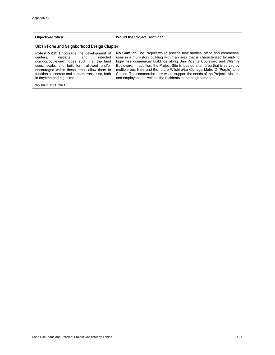## **Objective/Policy Would the Project Conflict?**

## **Urban Form and Neighborhood Design Chapter**

| <b>Policy 5.2.2:</b> Encourage the development of No Con |          |
|----------------------------------------------------------|----------|
| centers. districts. and selected                         | uses in  |
| corridor/boulevard nodes such that the land              | high-ris |
| uses, scale, and built form allowed and/or               | Boulevar |
| encouraged within these areas allow them to              | multiple |
| function as centers and support transit use, both        | Station. |
| in daytime and nighttime.                                | and emp  |

flict. The Project would provide new medical office and commercial a multi-story building within an area that is characterized by mid- to e commercial buildings along San Vicente Boulevard and Wilshire rd. In addition, the Project Site is located in an area that is served by bus lines and the future Wilshire/La Cienega Metro D (Purple) Line The commercial uses would support the needs of the Project's visitors loyees, as well as the residents in the neighborhood.

SOURCE: ESA, 2021.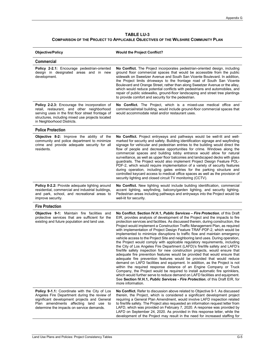### **TABLE LU-3 COMPARISON OF THE PROJECT TO APPLICABLE OBJECTIVES OF THE WILSHIRE COMMUNITY PLAN**

| <b>Objective/Policy</b>                                                                                                                                                                                                                   | <b>Would the Project Conflict?</b>                                                                                                                                                                                                                                                                                                                                                                                                                                                                                                                                                                                                                                                                                                                                                                                                                                                                                                                                                                                                                                                                                                                                                                                                                                                                                                                                                                                        |  |
|-------------------------------------------------------------------------------------------------------------------------------------------------------------------------------------------------------------------------------------------|---------------------------------------------------------------------------------------------------------------------------------------------------------------------------------------------------------------------------------------------------------------------------------------------------------------------------------------------------------------------------------------------------------------------------------------------------------------------------------------------------------------------------------------------------------------------------------------------------------------------------------------------------------------------------------------------------------------------------------------------------------------------------------------------------------------------------------------------------------------------------------------------------------------------------------------------------------------------------------------------------------------------------------------------------------------------------------------------------------------------------------------------------------------------------------------------------------------------------------------------------------------------------------------------------------------------------------------------------------------------------------------------------------------------------|--|
| <b>Commercial</b>                                                                                                                                                                                                                         |                                                                                                                                                                                                                                                                                                                                                                                                                                                                                                                                                                                                                                                                                                                                                                                                                                                                                                                                                                                                                                                                                                                                                                                                                                                                                                                                                                                                                           |  |
| Policy 2-2.1: Encourage pedestrian-oriented<br>design in designated areas and in new<br>development.                                                                                                                                      | No Conflict. The Project incorporates pedestrian-oriented design, including<br>ground floor commercial spaces that would be accessible from the public<br>sidewalk on Sweetzer Avenue and South San Vicente Boulevard. In addition,<br>the Project limits driveways to the frontage road of South San Vicente<br>Boulevard and Orange Street, rather than along Sweetzer Avenue or the alley,<br>which would reduce potential conflicts with pedestrians and automobiles, and<br>repair of public sidewalks, ground-floor landscaping and street tree plantings<br>to provide comfort and security for the pedestrian.                                                                                                                                                                                                                                                                                                                                                                                                                                                                                                                                                                                                                                                                                                                                                                                                    |  |
| <b>Policy 2-2.3:</b> Encourage the incorporation of<br>retail, restaurant, and other neighborhood<br>serving uses in the first floor street frontage of<br>structures, including mixed use projects located<br>in Neighborhood Districts. | No Conflict. The Project, which is a mixed-use medical office and<br>commercial/retail building, would include ground-floor commercial spaces that<br>would accommodate retail and/or restaurant uses.                                                                                                                                                                                                                                                                                                                                                                                                                                                                                                                                                                                                                                                                                                                                                                                                                                                                                                                                                                                                                                                                                                                                                                                                                    |  |
| <b>Police Protection</b>                                                                                                                                                                                                                  |                                                                                                                                                                                                                                                                                                                                                                                                                                                                                                                                                                                                                                                                                                                                                                                                                                                                                                                                                                                                                                                                                                                                                                                                                                                                                                                                                                                                                           |  |
| Objective 8-2: Improve the ability of the<br>community and police department to minimize<br>crime and provide adequate security for all<br>residents.                                                                                     | No Conflict. Project entryways and pathways would be well-lit and well-<br>marked for security and safety. Building identification signage and wayfinding<br>signage for vehicular and pedestrian entries to the building would direct the<br>flow of people and decrease opportunities for crime. Windows along the<br>commercial spaces and building lobby entrance would allow for natural<br>surveillance, as well as upper floor balconies and landscaped decks with glass<br>guardrails. The Project would also implement Project Design Feature POL-<br>PDF-2, which would require implementation of a variety of security features<br>during operation, including gates entries for the parking structure and<br>controlled keycard access to medical office spaces as well as the provision of<br>security lighting and closed circuit TV monitoring (CCTV).                                                                                                                                                                                                                                                                                                                                                                                                                                                                                                                                                     |  |
| Policy 8-2.2: Provide adequate lighting around<br>residential, commercial and industrial buildings,<br>and park, school, and recreational areas to<br>improve security.                                                                   | No Conflict. New lighting would include building identification, commercial<br>accent lighting, wayfinding, balcony/garden lighting, and security lighting.<br>Pedestrian areas including pathways and entryways into the Project would be<br>well-lit for security.                                                                                                                                                                                                                                                                                                                                                                                                                                                                                                                                                                                                                                                                                                                                                                                                                                                                                                                                                                                                                                                                                                                                                      |  |
| <b>Fire Protection</b>                                                                                                                                                                                                                    |                                                                                                                                                                                                                                                                                                                                                                                                                                                                                                                                                                                                                                                                                                                                                                                                                                                                                                                                                                                                                                                                                                                                                                                                                                                                                                                                                                                                                           |  |
| <b>Objective 9-1:</b> Maintain fire facilities and<br>protective services that are sufficient for the<br>existing and future population and land use.                                                                                     | No Conflict. Section IV.H.1, Public Services - Fire Protection, of this Draft<br>EIR, provides analysis of development of the Project and the impacts to fire<br>protection services and facilities. As discussed therein, during construction, the<br>Project would implement a Construction Traffic Management Plan, as required<br>with implementation of Project Design Feature TRAF-PDF-2, which would be<br>implemented to minimize disruptions to traffic flow and maintain emergency<br>vehicle access to the Project Site and neighboring land uses. During operation,<br>the Project would comply with applicable regulatory requirements, including<br>the City of Los Angeles Fire Department (LAFD)'s fire/life safety and LAFD's<br>fire/life safety inspection for new construction projects, would ensure that<br>adequate fire prevention features would be provided that would ensure that<br>adequate fire prevention features would be provided that would reduce<br>demand on LAFD facilities and equipment. In addition, as the Project is not<br>within the required response distance of an Engine Company or Truck<br>Company, the Project would be required to install automatic fire sprinklers,<br>which would further serve to reduce demand on LAFD facilities and equipment.<br>See Section IV.H.1, <i>Public Services - Fire Protection</i> , of this Draft EIR, for<br>more information. |  |
| Policy 9-1.1: Coordinate with the City of Los<br>Angeles Fire Department during the review of<br>significant development projects and General<br>Plan amendments affecting land use to<br>determine the impacts on service demands.       | No Conflict. Refer to discussion above related to Objective 9-1. As discussed<br>therein, the Project, which is considered a significant development project<br>requiring a General Plan Amendment, would involve LAFD inspection related<br>to fire/life safety. The Project also requested an information request letter from<br>LAFD, which was provided on February 7, 2020. A response was provided by<br>LAFD on September 24, 2020. As provided in this response letter, while the<br>development of the Project may result in the need for increased staffing for                                                                                                                                                                                                                                                                                                                                                                                                                                                                                                                                                                                                                                                                                                                                                                                                                                                 |  |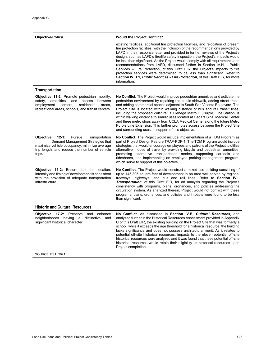| <b>Objective/Policy</b>                                                                                                                                                                                       | <b>Would the Project Conflict?</b>                                                                                                                                                                                                                                                                                                                                                                                                                                                                                                                                                                                                                                                                                                                                          |  |
|---------------------------------------------------------------------------------------------------------------------------------------------------------------------------------------------------------------|-----------------------------------------------------------------------------------------------------------------------------------------------------------------------------------------------------------------------------------------------------------------------------------------------------------------------------------------------------------------------------------------------------------------------------------------------------------------------------------------------------------------------------------------------------------------------------------------------------------------------------------------------------------------------------------------------------------------------------------------------------------------------------|--|
|                                                                                                                                                                                                               | existing facilities, additional fire protection facilities, and relocation of present<br>fire protection facilities, with the inclusion of the recommendations provided by<br>LAFD in their response letter and provided in further reviews of the Project's<br>design, such as LAFD's fire/life safety inspection, the Project's impacts would<br>be less than significant. As the Project would comply with all requirements and<br>recommendations from LAFD, discussed further in Section IV.H.1, Public<br>Services – Fire Protection, of this Draft EIR, the Project's impacts to fire<br>protection services were determined to be less than significant. Refer to<br>Section IV.H.1, Public Services - Fire Protection, of this Draft EIR, for more<br>information. |  |
| <b>Transportation</b>                                                                                                                                                                                         |                                                                                                                                                                                                                                                                                                                                                                                                                                                                                                                                                                                                                                                                                                                                                                             |  |
| <b>Objective 11-2:</b> Promote pedestrian mobility,<br>safety,<br>amenities,<br>and access<br>between<br>employment<br>centers,<br>residential<br>areas,<br>recreational areas, schools, and transit centers. | No Conflict. The Project would improve pedestrian amenities and activate the<br>pedestrian environment by repairing the public sidewalk, adding street trees,<br>and adding commercial spaces adjacent to South San Vicente Boulevard. The<br>Project Site is located within walking distance of bus and rail transit lines,<br>including the proposed Wilshire/La Cienega Metro D (Purple) Line Station, is<br>within walking distance to similar uses located at Cedars Sinai Medical Center<br>and three metro stops away from UCLA Medical Center along the future Metro<br>Purple Line Extension. This further promotes access between the Project Site<br>and surrounding uses, in support of this objective.                                                         |  |
| Objective<br>$12 - 1:$<br>Pursue<br>Transportation<br>Demand Management Strategies that<br>maximize vehicle occupancy, minimize average<br>trip length, and reduce the number of vehicle<br>trips.            | <b>No Conflict.</b> The Project would include implementation of a TDM Program as<br>part of Project Design Feature TRAF-PDF-1. The TDM Program would include<br>strategies that would encourage employees and patrons of the Project to utilize<br>alternative modes of travel by providing bicycle and pedestrian amenities,<br>promoting alternative transportation modes, supporting carpools and<br>rideshares, and implementing an employee parking management program,<br>which serve to support of this objective.                                                                                                                                                                                                                                                   |  |
| <b>Objective 16-2:</b> Ensure that the location,<br>intensity and timing of development is consistent<br>with the provision of adequate transportation<br>infrastructure.                                     | No Conflict. The Project would construct a mixed-use building consisting of<br>up to 145,305 square feet of development in an area well-served by regional<br>freeways, highways, and bus and rail lines. Refer to Section IV.I,<br><b>Transportation</b> , of this Draft EIR, for an analysis regarding the Project's<br>consistency with programs, plans, ordnances, and policies addressing the<br>circulation system. As analyzed therein, Project would not conflict with these<br>programs, plans, ordnances, and policies and impacts were found to be less<br>than significant.                                                                                                                                                                                     |  |
| <b>Historic and Cultural Resources</b>                                                                                                                                                                        |                                                                                                                                                                                                                                                                                                                                                                                                                                                                                                                                                                                                                                                                                                                                                                             |  |
| Preserve<br>Objective 17-2:<br>and enhance<br>neighborhoods having<br>distinctive<br>a<br>and<br>significant historical character.                                                                            | No Conflict. As discussed in Section IV.B, Cultural Resources, and<br>analyzed further in the Historical Resources Assessment provided in Appendix<br>C of this Draft EIR, the existing building on the Project Site that was formerly a<br>school; while it exceeds the age threshold for a historical resource, the building<br>lacks significance and does not possess architectural merit. As it relates to<br>potential off-site historical resources, impacts to the eleven potential off-site<br>historical resources were analyzed and it was found that these potential off-site<br>historical resources would retain their eligibility as historical resources upon<br>Project completion.                                                                        |  |
| SOURCE: ESA, 2021.                                                                                                                                                                                            |                                                                                                                                                                                                                                                                                                                                                                                                                                                                                                                                                                                                                                                                                                                                                                             |  |